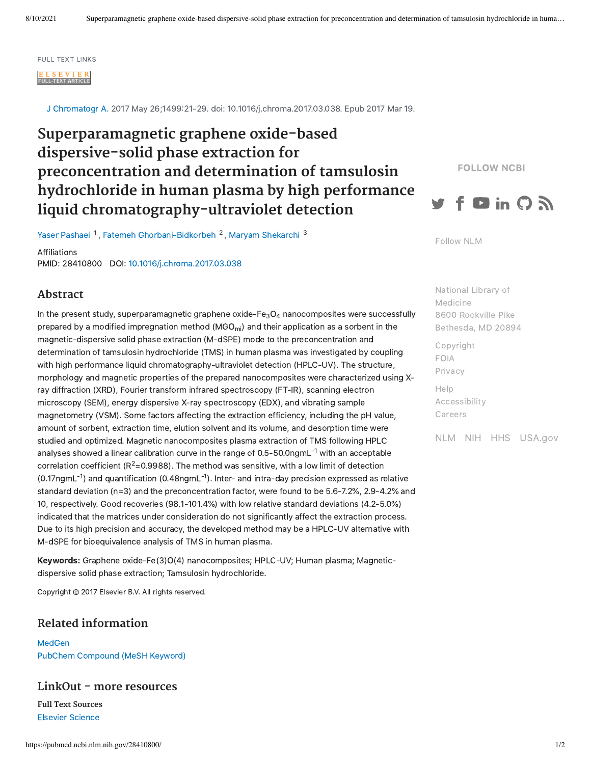#### FULL TEXT LINKS

FULL-TEXT ARTICLE

J Chromatogr A. 2017 May 26;1499:21-29. doi: 10.1016/j.chroma.2017.03.038. Epub 2017 Mar 19.

# **Superparamagnetic graphene oxide-based dispersive-solid phase extraction for preconcentration and determination of tamsulosin hydrochloride in human plasma by high performance liquid chromatography-ultraviolet detection**

FOLLOW NCBI



Yaser [Pashaei](https://pubmed.ncbi.nlm.nih.gov/?term=Pashaei+Y&cauthor_id=28410800) <sup>1</sup>, Fatemeh [Ghorbani-Bidkorbeh](https://pubmed.ncbi.nlm.nih.gov/?term=Ghorbani-Bidkorbeh+F&cauthor_id=28410800) <sup>2</sup>, Maryam [Shekarchi](https://pubmed.ncbi.nlm.nih.gov/?term=Shekarchi+M&cauthor_id=28410800) <sup>3</sup>

Affiliations PMID: 28410800 DOI: [10.1016/j.chroma.2017.03.038](https://doi.org/10.1016/j.chroma.2017.03.038) [Follow](https://www.nlm.nih.gov/socialmedia/index.html) NLM

### **Abstract**

In the present study, superparamagnetic graphene oxide-Fe $_{3}$ O<sub>4</sub> nanocomposites were successfully prepared by a modified impregnation method (MGO $_{\rm{mi}}$ ) and their application as a sorbent in the magnetic-dispersive solid phase extraction (M-dSPE) mode to the preconcentration and determination of tamsulosin hydrochloride (TMS) in human plasma was investigated by coupling with high performance liquid chromatography-ultraviolet detection (HPLC-UV). The structure, morphology and magnetic properties of the prepared nanocomposites were characterized using Xray diffraction (XRD), Fourier transform infrared spectroscopy (FT-IR), scanning electron microscopy (SEM), energy dispersive X-ray spectroscopy (EDX), and vibrating sample magnetometry (VSM). Some factors affecting the extraction efficiency, including the pH value, amount of sorbent, extraction time, elution solvent and its volume, and desorption time were studied and optimized. Magnetic nanocomposites plasma extraction of TMS following HPLC analyses showed a linear calibration curve in the range of 0.5-50.0ngmL $^{\text{-1}}$  with an acceptable correlation coefficient ( $R^2$ =0.9988). The method was sensitive, with a low limit of detection  $(0.17)$ ngmL<sup>-1</sup>) and quantification  $(0.48)$ ngmL<sup>-1</sup>). Inter- and intra-day precision expressed as relative standard deviation (n=3) and the preconcentration factor, were found to be 5.6-7.2%, 2.9-4.2% and 10, respectively. Good recoveries (98.1-101.4%) with low relative standard deviations (4.2-5.0%) indicated that the matrices under consideration do not significantly affect the extraction process. Due to its high precision and accuracy, the developed method may be a HPLC-UV alternative with M-dSPE for bioequivalence analysis of TMS in human plasma.

Keywords: Graphene oxide-Fe(3)O(4) nanocomposites; HPLC-UV; Human plasma; Magneticdispersive solid phase extraction; Tamsulosin hydrochloride.

Copyright © 2017 Elsevier B.V. All rights reserved.

## **Related information**

**[MedGen](https://www.ncbi.nlm.nih.gov/medgen/?linkname=pubmed_medgen&from_uid=28410800)** PubChem [Compound](https://www.ncbi.nlm.nih.gov/pccompound/?linkname=pubmed_pccompound_mesh&from_uid=28410800) (MeSH Keyword)

#### **LinkOut - more resources**

**Full Text Sources** Elsevier [Science](https://linkinghub.elsevier.com/retrieve/pii/S0021-9673(17)30417-X)

National Library of Medicine 8600 Rockville Pike [Bethesda,](https://www.google.com/maps/place/8600+Rockville+Pike,+Bethesda,+MD+20894/@38.9959508,-77.101021,17z/data=!3m1!4b1!4m5!3m4!1s0x89b7c95e25765ddb:0x19156f88b27635b8!8m2!3d38.9959508!4d-77.0988323) MD 20894

[Copyright](https://www.nlm.nih.gov/copyright.html) [FOIA](https://www.nih.gov/institutes-nih/nih-office-director/office-communications-public-liaison/freedom-information-act-office) [Privacy](https://www.nlm.nih.gov/privacy.html) [Help](https://support.nlm.nih.gov/) [Accessibility](https://www.nlm.nih.gov/accessibility.html)

[Careers](https://www.nlm.nih.gov/careers/careers.html)

[NLM](https://www.nlm.nih.gov/) [NIH](https://www.nih.gov/) [HHS](https://www.hhs.gov/) [USA.gov](https://www.usa.gov/)